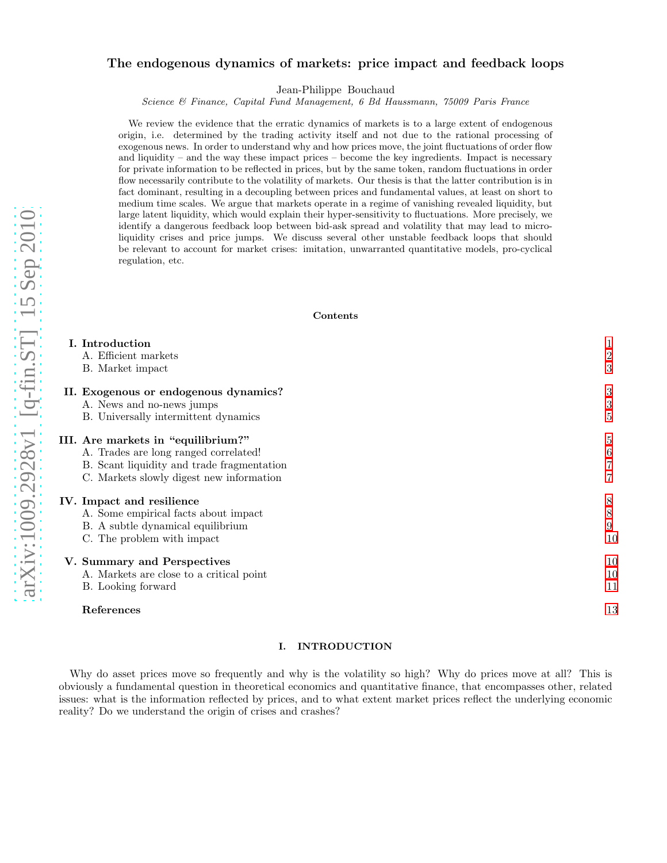# arXiv:1009.2928v1 [q-fin.ST] 15 Sep 2010 [arXiv:1009.2928v1 \[q-fin.ST\] 15 Sep 2010](http://arxiv.org/abs/1009.2928v1)

# The endogenous dynamics of markets: price impact and feedback loops

Jean-Philippe Bouchaud

Science & Finance, Capital Fund Management, 6 Bd Haussmann, 75009 Paris France

We review the evidence that the erratic dynamics of markets is to a large extent of endogenous origin, i.e. determined by the trading activity itself and not due to the rational processing of exogenous news. In order to understand why and how prices move, the joint fluctuations of order flow and liquidity – and the way these impact prices – become the key ingredients. Impact is necessary for private information to be reflected in prices, but by the same token, random fluctuations in order flow necessarily contribute to the volatility of markets. Our thesis is that the latter contribution is in fact dominant, resulting in a decoupling between prices and fundamental values, at least on short to medium time scales. We argue that markets operate in a regime of vanishing revealed liquidity, but large latent liquidity, which would explain their hyper-sensitivity to fluctuations. More precisely, we identify a dangerous feedback loop between bid-ask spread and volatility that may lead to microliquidity crises and price jumps. We discuss several other unstable feedback loops that should be relevant to account for market crises: imitation, unwarranted quantitative models, pro-cyclical regulation, etc.

# Contents

| I. Introduction                            |                |
|--------------------------------------------|----------------|
| A. Efficient markets                       | $\overline{2}$ |
| B. Market impact                           | 3              |
| II. Exogenous or endogenous dynamics?      | 3              |
| A. News and no-news jumps                  | 3              |
| B. Universally intermittent dynamics       | 5              |
| III. Are markets in "equilibrium?"         | 5              |
| A. Trades are long ranged correlated!      | 6              |
| B. Scant liquidity and trade fragmentation |                |
| C. Markets slowly digest new information   |                |
| IV. Impact and resilience                  | 8              |
| A. Some empirical facts about impact       | 8              |
| B. A subtle dynamical equilibrium          | 9              |
| C. The problem with impact                 | 10             |
| V. Summary and Perspectives                | 10             |
| A. Markets are close to a critical point   | 10             |
| B. Looking forward                         | 11             |
| References                                 | 13             |

# <span id="page-0-0"></span>I. INTRODUCTION

Why do asset prices move so frequently and why is the volatility so high? Why do prices move at all? This is obviously a fundamental question in theoretical economics and quantitative finance, that encompasses other, related issues: what is the information reflected by prices, and to what extent market prices reflect the underlying economic reality? Do we understand the origin of crises and crashes?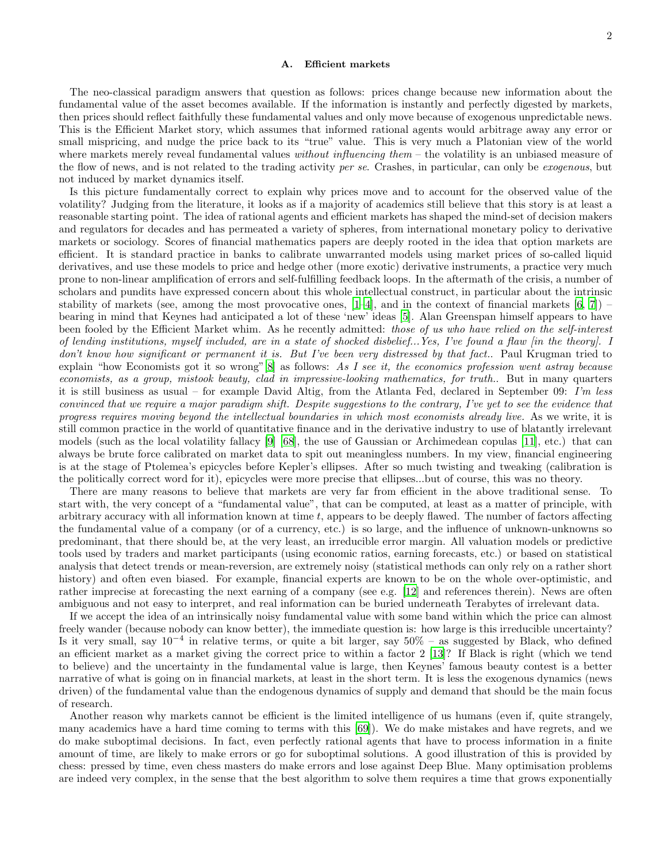#### <span id="page-1-0"></span>A. Efficient markets

The neo-classical paradigm answers that question as follows: prices change because new information about the fundamental value of the asset becomes available. If the information is instantly and perfectly digested by markets, then prices should reflect faithfully these fundamental values and only move because of exogenous unpredictable news. This is the Efficient Market story, which assumes that informed rational agents would arbitrage away any error or small mispricing, and nudge the price back to its "true" value. This is very much a Platonian view of the world where markets merely reveal fundamental values *without influencing them* – the volatility is an unbiased measure of the flow of news, and is not related to the trading activity per se. Crashes, in particular, can only be exogenous, but not induced by market dynamics itself.

Is this picture fundamentally correct to explain why prices move and to account for the observed value of the volatility? Judging from the literature, it looks as if a majority of academics still believe that this story is at least a reasonable starting point. The idea of rational agents and efficient markets has shaped the mind-set of decision makers and regulators for decades and has permeated a variety of spheres, from international monetary policy to derivative markets or sociology. Scores of financial mathematics papers are deeply rooted in the idea that option markets are efficient. It is standard practice in banks to calibrate unwarranted models using market prices of so-called liquid derivatives, and use these models to price and hedge other (more exotic) derivative instruments, a practice very much prone to non-linear amplification of errors and self-fulfilling feedback loops. In the aftermath of the crisis, a number of scholars and pundits have expressed concern about this whole intellectual construct, in particular about the intrinsic stability of markets (see, among the most provocative ones,  $[1-4]$ , and in the context of financial markets  $[6, 7]$  $[6, 7]$ ) – bearing in mind that Keynes had anticipated a lot of these 'new' ideas [\[5\]](#page-12-5). Alan Greenspan himself appears to have been fooled by the Efficient Market whim. As he recently admitted: those of us who have relied on the self-interest of lending institutions, myself included, are in a state of shocked disbelief...Yes, I've found a flaw [in the theory]. I don't know how significant or permanent it is. But I've been very distressed by that fact.. Paul Krugman tried to explain "how Economists got it so wrong"[\[8\]](#page-12-6) as follows: As I see it, the economics profession went astray because economists, as a group, mistook beauty, clad in impressive-looking mathematics, for truth.. But in many quarters it is still business as usual – for example David Altig, from the Atlanta Fed, declared in September 09: I'm less convinced that we require a major paradigm shift. Despite suggestions to the contrary, I've yet to see the evidence that progress requires moving beyond the intellectual boundaries in which most economists already live. As we write, it is still common practice in the world of quantitative finance and in the derivative industry to use of blatantly irrelevant models (such as the local volatility fallacy [\[9\]](#page-12-7) [\[68\]](#page-13-0), the use of Gaussian or Archimedean copulas [\[11](#page-12-8)], etc.) that can always be brute force calibrated on market data to spit out meaningless numbers. In my view, financial engineering is at the stage of Ptolemea's epicycles before Kepler's ellipses. After so much twisting and tweaking (calibration is the politically correct word for it), epicycles were more precise that ellipses...but of course, this was no theory.

There are many reasons to believe that markets are very far from efficient in the above traditional sense. To start with, the very concept of a "fundamental value", that can be computed, at least as a matter of principle, with arbitrary accuracy with all information known at time t, appears to be deeply flawed. The number of factors affecting the fundamental value of a company (or of a currency, etc.) is so large, and the influence of unknown-unknowns so predominant, that there should be, at the very least, an irreducible error margin. All valuation models or predictive tools used by traders and market participants (using economic ratios, earning forecasts, etc.) or based on statistical analysis that detect trends or mean-reversion, are extremely noisy (statistical methods can only rely on a rather short history) and often even biased. For example, financial experts are known to be on the whole over-optimistic, and rather imprecise at forecasting the next earning of a company (see e.g. [\[12\]](#page-12-9) and references therein). News are often ambiguous and not easy to interpret, and real information can be buried underneath Terabytes of irrelevant data.

If we accept the idea of an intrinsically noisy fundamental value with some band within which the price can almost freely wander (because nobody can know better), the immediate question is: how large is this irreducible uncertainty? Is it very small, say 10<sup>−</sup><sup>4</sup> in relative terms, or quite a bit larger, say 50% – as suggested by Black, who defined an efficient market as a market giving the correct price to within a factor 2 [\[13\]](#page-12-10)? If Black is right (which we tend to believe) and the uncertainty in the fundamental value is large, then Keynes' famous beauty contest is a better narrative of what is going on in financial markets, at least in the short term. It is less the exogenous dynamics (news driven) of the fundamental value than the endogenous dynamics of supply and demand that should be the main focus of research.

Another reason why markets cannot be efficient is the limited intelligence of us humans (even if, quite strangely, many academics have a hard time coming to terms with this [\[69](#page-13-1)]). We do make mistakes and have regrets, and we do make suboptimal decisions. In fact, even perfectly rational agents that have to process information in a finite amount of time, are likely to make errors or go for suboptimal solutions. A good illustration of this is provided by chess: pressed by time, even chess masters do make errors and lose against Deep Blue. Many optimisation problems are indeed very complex, in the sense that the best algorithm to solve them requires a time that grows exponentially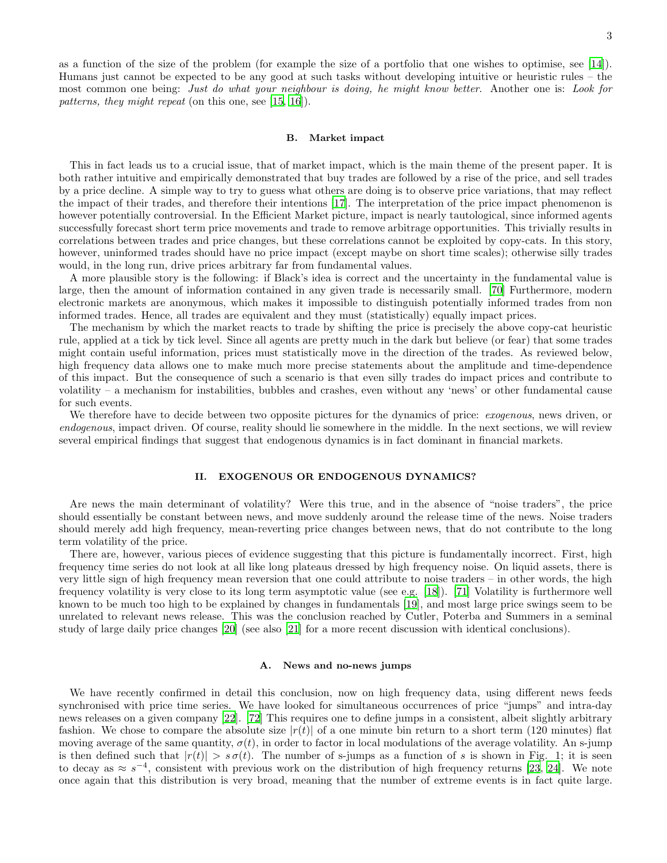3

as a function of the size of the problem (for example the size of a portfolio that one wishes to optimise, see [\[14\]](#page-12-11)). Humans just cannot be expected to be any good at such tasks without developing intuitive or heuristic rules – the most common one being: Just do what your neighbour is doing, he might know better. Another one is: Look for patterns, they might repeat (on this one, see [\[15](#page-12-12), [16](#page-12-13)]).

#### <span id="page-2-0"></span>B. Market impact

This in fact leads us to a crucial issue, that of market impact, which is the main theme of the present paper. It is both rather intuitive and empirically demonstrated that buy trades are followed by a rise of the price, and sell trades by a price decline. A simple way to try to guess what others are doing is to observe price variations, that may reflect the impact of their trades, and therefore their intentions [\[17\]](#page-12-14). The interpretation of the price impact phenomenon is however potentially controversial. In the Efficient Market picture, impact is nearly tautological, since informed agents successfully forecast short term price movements and trade to remove arbitrage opportunities. This trivially results in correlations between trades and price changes, but these correlations cannot be exploited by copy-cats. In this story, however, uninformed trades should have no price impact (except maybe on short time scales); otherwise silly trades would, in the long run, drive prices arbitrary far from fundamental values.

A more plausible story is the following: if Black's idea is correct and the uncertainty in the fundamental value is large, then the amount of information contained in any given trade is necessarily small. [\[70](#page-13-2)] Furthermore, modern electronic markets are anonymous, which makes it impossible to distinguish potentially informed trades from non informed trades. Hence, all trades are equivalent and they must (statistically) equally impact prices.

The mechanism by which the market reacts to trade by shifting the price is precisely the above copy-cat heuristic rule, applied at a tick by tick level. Since all agents are pretty much in the dark but believe (or fear) that some trades might contain useful information, prices must statistically move in the direction of the trades. As reviewed below, high frequency data allows one to make much more precise statements about the amplitude and time-dependence of this impact. But the consequence of such a scenario is that even silly trades do impact prices and contribute to volatility – a mechanism for instabilities, bubbles and crashes, even without any 'news' or other fundamental cause for such events.

We therefore have to decide between two opposite pictures for the dynamics of price: *exogenous*, news driven, or endogenous, impact driven. Of course, reality should lie somewhere in the middle. In the next sections, we will review several empirical findings that suggest that endogenous dynamics is in fact dominant in financial markets.

# <span id="page-2-1"></span>II. EXOGENOUS OR ENDOGENOUS DYNAMICS?

Are news the main determinant of volatility? Were this true, and in the absence of "noise traders", the price should essentially be constant between news, and move suddenly around the release time of the news. Noise traders should merely add high frequency, mean-reverting price changes between news, that do not contribute to the long term volatility of the price.

There are, however, various pieces of evidence suggesting that this picture is fundamentally incorrect. First, high frequency time series do not look at all like long plateaus dressed by high frequency noise. On liquid assets, there is very little sign of high frequency mean reversion that one could attribute to noise traders – in other words, the high frequency volatility is very close to its long term asymptotic value (see e.g. [\[18\]](#page-12-15)). [\[71](#page-13-3)] Volatility is furthermore well known to be much too high to be explained by changes in fundamentals [\[19](#page-12-16)], and most large price swings seem to be unrelated to relevant news release. This was the conclusion reached by Cutler, Poterba and Summers in a seminal study of large daily price changes [\[20\]](#page-12-17) (see also [\[21\]](#page-12-18) for a more recent discussion with identical conclusions).

# <span id="page-2-2"></span>A. News and no-news jumps

We have recently confirmed in detail this conclusion, now on high frequency data, using different news feeds synchronised with price time series. We have looked for simultaneous occurrences of price "jumps" and intra-day news releases on a given company [\[22](#page-12-19)]. [\[72\]](#page-13-4) This requires one to define jumps in a consistent, albeit slightly arbitrary fashion. We chose to compare the absolute size  $|r(t)|$  of a one minute bin return to a short term (120 minutes) flat moving average of the same quantity,  $\sigma(t)$ , in order to factor in local modulations of the average volatility. An s-jump is then defined such that  $|r(t)| > s\sigma(t)$ . The number of s-jumps as a function of s is shown in Fig. 1; it is seen to decay as  $\approx s^{-4}$ , consistent with previous work on the distribution of high frequency returns [\[23](#page-12-20), [24\]](#page-12-21). We note once again that this distribution is very broad, meaning that the number of extreme events is in fact quite large.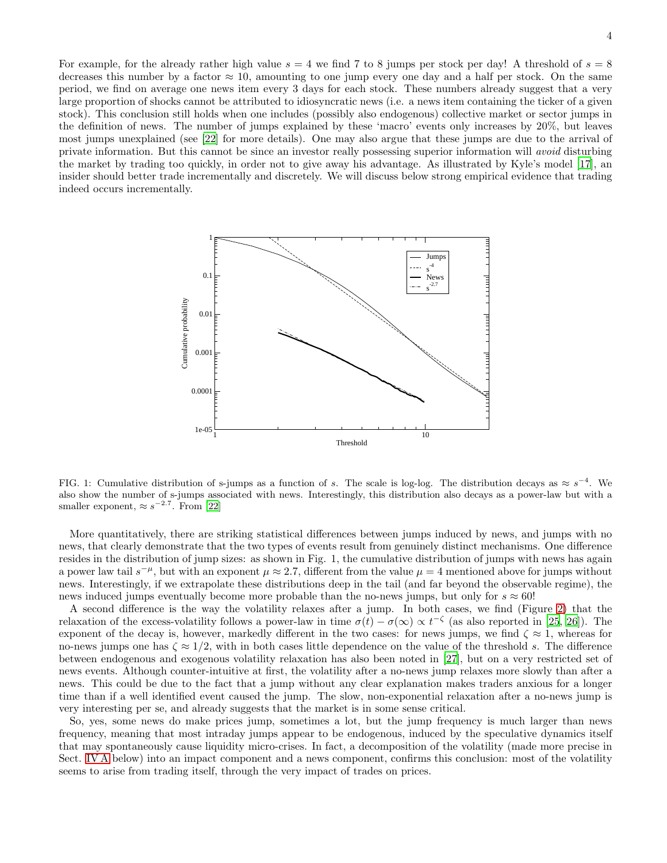For example, for the already rather high value  $s = 4$  we find 7 to 8 jumps per stock per day! A threshold of  $s = 8$ decreases this number by a factor  $\approx 10$ , amounting to one jump every one day and a half per stock. On the same period, we find on average one news item every 3 days for each stock. These numbers already suggest that a very large proportion of shocks cannot be attributed to idiosyncratic news (i.e. a news item containing the ticker of a given stock). This conclusion still holds when one includes (possibly also endogenous) collective market or sector jumps in the definition of news. The number of jumps explained by these 'macro' events only increases by 20%, but leaves most jumps unexplained (see [\[22](#page-12-19)] for more details). One may also argue that these jumps are due to the arrival of private information. But this cannot be since an investor really possessing superior information will avoid disturbing the market by trading too quickly, in order not to give away his advantage. As illustrated by Kyle's model [\[17](#page-12-14)], an insider should better trade incrementally and discretely. We will discuss below strong empirical evidence that trading indeed occurs incrementally.



FIG. 1: Cumulative distribution of s-jumps as a function of s. The scale is log-log. The distribution decays as  $\approx s^{-4}$ . We also show the number of s-jumps associated with news. Interestingly, this distribution also decays as a power-law but with a smaller exponent,  $\approx s^{-2.7}$ . From [\[22](#page-12-19)]

More quantitatively, there are striking statistical differences between jumps induced by news, and jumps with no news, that clearly demonstrate that the two types of events result from genuinely distinct mechanisms. One difference resides in the distribution of jump sizes: as shown in Fig. 1, the cumulative distribution of jumps with news has again a power law tail  $s^{-\mu}$ , but with an exponent  $\mu \approx 2.7$ , different from the value  $\mu = 4$  mentioned above for jumps without news. Interestingly, if we extrapolate these distributions deep in the tail (and far beyond the observable regime), the news induced jumps eventually become more probable than the no-news jumps, but only for  $s \approx 60!$ 

A second difference is the way the volatility relaxes after a jump. In both cases, we find (Figure [2\)](#page-4-2) that the relaxation of the excess-volatility follows a power-law in time  $\sigma(t) - \sigma(\infty) \propto t^{-\zeta}$  (as also reported in [\[25,](#page-12-22) [26](#page-12-23)]). The exponent of the decay is, however, markedly different in the two cases: for news jumps, we find  $\zeta \approx 1$ , whereas for no-news jumps one has  $\zeta \approx 1/2$ , with in both cases little dependence on the value of the threshold s. The difference between endogenous and exogenous volatility relaxation has also been noted in [\[27\]](#page-12-24), but on a very restricted set of news events. Although counter-intuitive at first, the volatility after a no-news jump relaxes more slowly than after a news. This could be due to the fact that a jump without any clear explanation makes traders anxious for a longer time than if a well identified event caused the jump. The slow, non-exponential relaxation after a no-news jump is very interesting per se, and already suggests that the market is in some sense critical.

So, yes, some news do make prices jump, sometimes a lot, but the jump frequency is much larger than news frequency, meaning that most intraday jumps appear to be endogenous, induced by the speculative dynamics itself that may spontaneously cause liquidity micro-crises. In fact, a decomposition of the volatility (made more precise in Sect. [IV A](#page-7-1) below) into an impact component and a news component, confirms this conclusion: most of the volatility seems to arise from trading itself, through the very impact of trades on prices.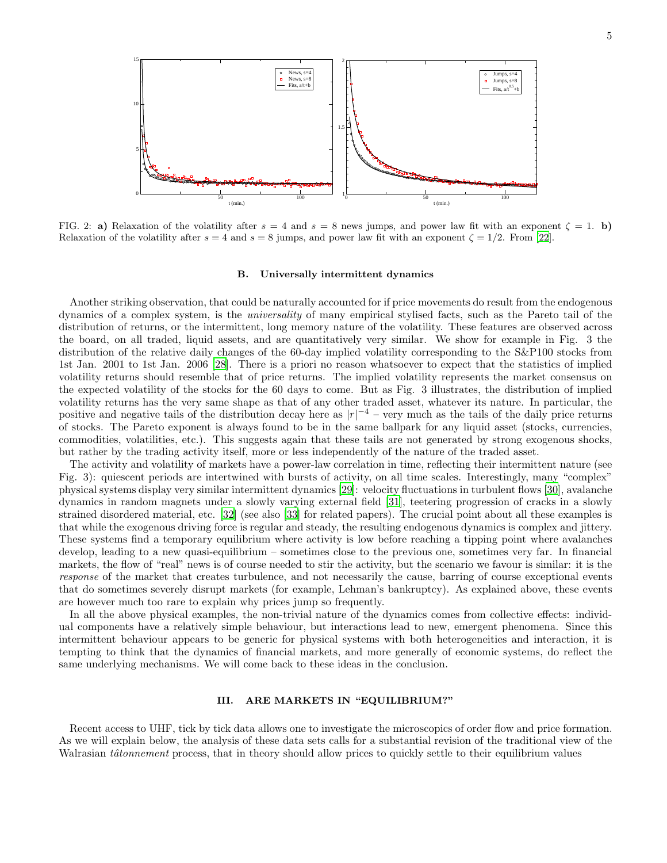

<span id="page-4-2"></span>FIG. 2: a) Relaxation of the volatility after  $s = 4$  and  $s = 8$  news jumps, and power law fit with an exponent  $\zeta = 1$ . b) Relaxation of the volatility after  $s = 4$  and  $s = 8$  jumps, and power law fit with an exponent  $\zeta = 1/2$ . From [\[22](#page-12-19)].

# <span id="page-4-0"></span>B. Universally intermittent dynamics

Another striking observation, that could be naturally accounted for if price movements do result from the endogenous dynamics of a complex system, is the universality of many empirical stylised facts, such as the Pareto tail of the distribution of returns, or the intermittent, long memory nature of the volatility. These features are observed across the board, on all traded, liquid assets, and are quantitatively very similar. We show for example in Fig. 3 the distribution of the relative daily changes of the 60-day implied volatility corresponding to the S&P100 stocks from 1st Jan. 2001 to 1st Jan. 2006 [\[28\]](#page-12-25). There is a priori no reason whatsoever to expect that the statistics of implied volatility returns should resemble that of price returns. The implied volatility represents the market consensus on the expected volatility of the stocks for the 60 days to come. But as Fig. 3 illustrates, the distribution of implied volatility returns has the very same shape as that of any other traded asset, whatever its nature. In particular, the positive and negative tails of the distribution decay here as  $|r|^{-4}$  – very much as the tails of the daily price returns of stocks. The Pareto exponent is always found to be in the same ballpark for any liquid asset (stocks, currencies, commodities, volatilities, etc.). This suggests again that these tails are not generated by strong exogenous shocks, but rather by the trading activity itself, more or less independently of the nature of the traded asset.

The activity and volatility of markets have a power-law correlation in time, reflecting their intermittent nature (see Fig. 3): quiescent periods are intertwined with bursts of activity, on all time scales. Interestingly, many "complex" physical systems display very similar intermittent dynamics [\[29\]](#page-12-26): velocity fluctuations in turbulent flows [\[30](#page-12-27)], avalanche dynamics in random magnets under a slowly varying external field [\[31\]](#page-12-28), teetering progression of cracks in a slowly strained disordered material, etc. [\[32\]](#page-12-29) (see also [\[33](#page-12-30)] for related papers). The crucial point about all these examples is that while the exogenous driving force is regular and steady, the resulting endogenous dynamics is complex and jittery. These systems find a temporary equilibrium where activity is low before reaching a tipping point where avalanches develop, leading to a new quasi-equilibrium – sometimes close to the previous one, sometimes very far. In financial markets, the flow of "real" news is of course needed to stir the activity, but the scenario we favour is similar: it is the response of the market that creates turbulence, and not necessarily the cause, barring of course exceptional events that do sometimes severely disrupt markets (for example, Lehman's bankruptcy). As explained above, these events are however much too rare to explain why prices jump so frequently.

In all the above physical examples, the non-trivial nature of the dynamics comes from collective effects: individual components have a relatively simple behaviour, but interactions lead to new, emergent phenomena. Since this intermittent behaviour appears to be generic for physical systems with both heterogeneities and interaction, it is tempting to think that the dynamics of financial markets, and more generally of economic systems, do reflect the same underlying mechanisms. We will come back to these ideas in the conclusion.

# <span id="page-4-1"></span>III. ARE MARKETS IN "EQUILIBRIUM?"

Recent access to UHF, tick by tick data allows one to investigate the microscopics of order flow and price formation. As we will explain below, the analysis of these data sets calls for a substantial revision of the traditional view of the Walrasian *tâtonnement* process, that in theory should allow prices to quickly settle to their equilibrium values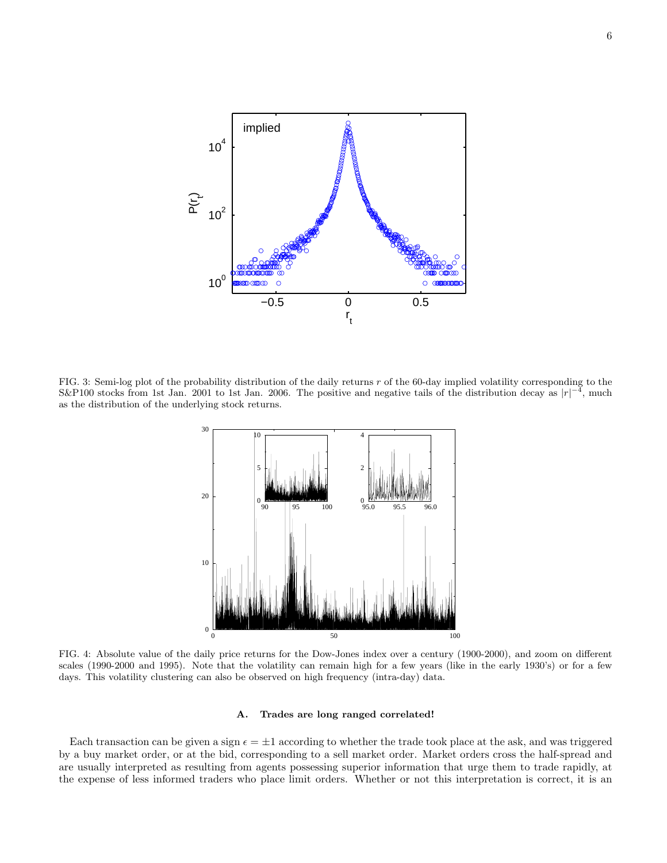

FIG. 3: Semi-log plot of the probability distribution of the daily returns  $r$  of the 60-day implied volatility corresponding to the S&P100 stocks from 1st Jan. 2001 to 1st Jan. 2006. The positive and negative tails of the distribution decay as  $|r|^{-4}$ , much as the distribution of the underlying stock returns.



FIG. 4: Absolute value of the daily price returns for the Dow-Jones index over a century (1900-2000), and zoom on different scales (1990-2000 and 1995). Note that the volatility can remain high for a few years (like in the early 1930's) or for a few days. This volatility clustering can also be observed on high frequency (intra-day) data.

## <span id="page-5-0"></span>A. Trades are long ranged correlated!

Each transaction can be given a sign  $\epsilon = \pm 1$  according to whether the trade took place at the ask, and was triggered by a buy market order, or at the bid, corresponding to a sell market order. Market orders cross the half-spread and are usually interpreted as resulting from agents possessing superior information that urge them to trade rapidly, at the expense of less informed traders who place limit orders. Whether or not this interpretation is correct, it is an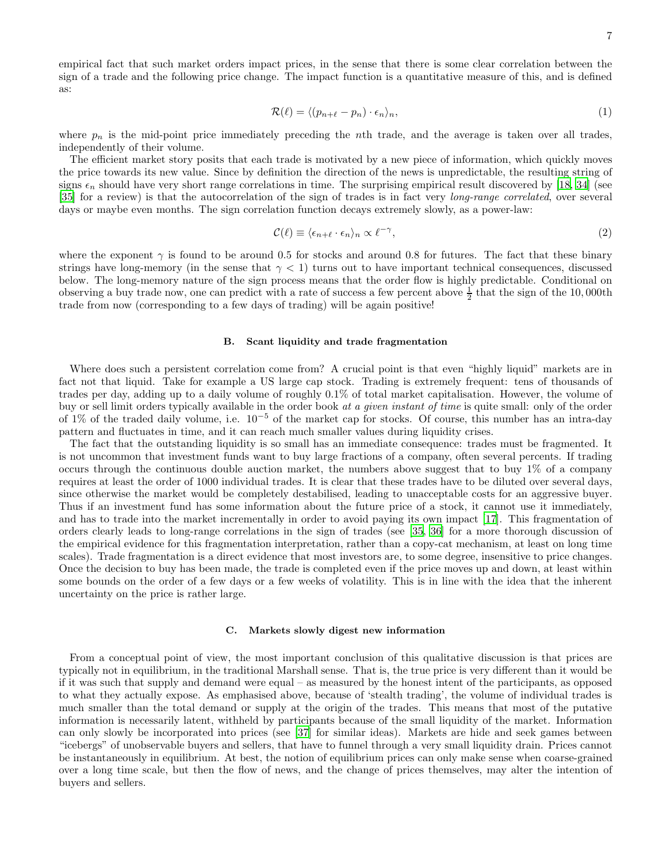empirical fact that such market orders impact prices, in the sense that there is some clear correlation between the sign of a trade and the following price change. The impact function is a quantitative measure of this, and is defined as:

<span id="page-6-2"></span>
$$
\mathcal{R}(\ell) = \langle (p_{n+\ell} - p_n) \cdot \epsilon_n \rangle_n,\tag{1}
$$

where  $p_n$  is the mid-point price immediately preceding the nth trade, and the average is taken over all trades, independently of their volume.

The efficient market story posits that each trade is motivated by a new piece of information, which quickly moves the price towards its new value. Since by definition the direction of the news is unpredictable, the resulting string of signs  $\epsilon_n$  should have very short range correlations in time. The surprising empirical result discovered by [\[18,](#page-12-15) [34\]](#page-12-31) (see [\[35\]](#page-13-5) for a review) is that the autocorrelation of the sign of trades is in fact very long-range correlated, over several days or maybe even months. The sign correlation function decays extremely slowly, as a power-law:

$$
\mathcal{C}(\ell) \equiv \langle \epsilon_{n+\ell} \cdot \epsilon_n \rangle_n \propto \ell^{-\gamma},\tag{2}
$$

where the exponent  $\gamma$  is found to be around 0.5 for stocks and around 0.8 for futures. The fact that these binary strings have long-memory (in the sense that  $\gamma < 1$ ) turns out to have important technical consequences, discussed below. The long-memory nature of the sign process means that the order flow is highly predictable. Conditional on observing a buy trade now, one can predict with a rate of success a few percent above  $\frac{1}{2}$  that the sign of the 10,000th trade from now (corresponding to a few days of trading) will be again positive!

#### <span id="page-6-0"></span>B. Scant liquidity and trade fragmentation

Where does such a persistent correlation come from? A crucial point is that even "highly liquid" markets are in fact not that liquid. Take for example a US large cap stock. Trading is extremely frequent: tens of thousands of trades per day, adding up to a daily volume of roughly 0.1% of total market capitalisation. However, the volume of buy or sell limit orders typically available in the order book at a given instant of time is quite small: only of the order of 1% of the traded daily volume, i.e. 10<sup>−</sup><sup>5</sup> of the market cap for stocks. Of course, this number has an intra-day pattern and fluctuates in time, and it can reach much smaller values during liquidity crises.

The fact that the outstanding liquidity is so small has an immediate consequence: trades must be fragmented. It is not uncommon that investment funds want to buy large fractions of a company, often several percents. If trading occurs through the continuous double auction market, the numbers above suggest that to buy 1% of a company requires at least the order of 1000 individual trades. It is clear that these trades have to be diluted over several days, since otherwise the market would be completely destabilised, leading to unacceptable costs for an aggressive buyer. Thus if an investment fund has some information about the future price of a stock, it cannot use it immediately, and has to trade into the market incrementally in order to avoid paying its own impact [\[17\]](#page-12-14). This fragmentation of orders clearly leads to long-range correlations in the sign of trades (see [\[35,](#page-13-5) [36](#page-13-6)] for a more thorough discussion of the empirical evidence for this fragmentation interpretation, rather than a copy-cat mechanism, at least on long time scales). Trade fragmentation is a direct evidence that most investors are, to some degree, insensitive to price changes. Once the decision to buy has been made, the trade is completed even if the price moves up and down, at least within some bounds on the order of a few days or a few weeks of volatility. This is in line with the idea that the inherent uncertainty on the price is rather large.

#### <span id="page-6-1"></span>C. Markets slowly digest new information

From a conceptual point of view, the most important conclusion of this qualitative discussion is that prices are typically not in equilibrium, in the traditional Marshall sense. That is, the true price is very different than it would be if it was such that supply and demand were equal – as measured by the honest intent of the participants, as opposed to what they actually expose. As emphasised above, because of 'stealth trading', the volume of individual trades is much smaller than the total demand or supply at the origin of the trades. This means that most of the putative information is necessarily latent, withheld by participants because of the small liquidity of the market. Information can only slowly be incorporated into prices (see [\[37\]](#page-13-7) for similar ideas). Markets are hide and seek games between "icebergs" of unobservable buyers and sellers, that have to funnel through a very small liquidity drain. Prices cannot be instantaneously in equilibrium. At best, the notion of equilibrium prices can only make sense when coarse-grained over a long time scale, but then the flow of news, and the change of prices themselves, may alter the intention of buyers and sellers.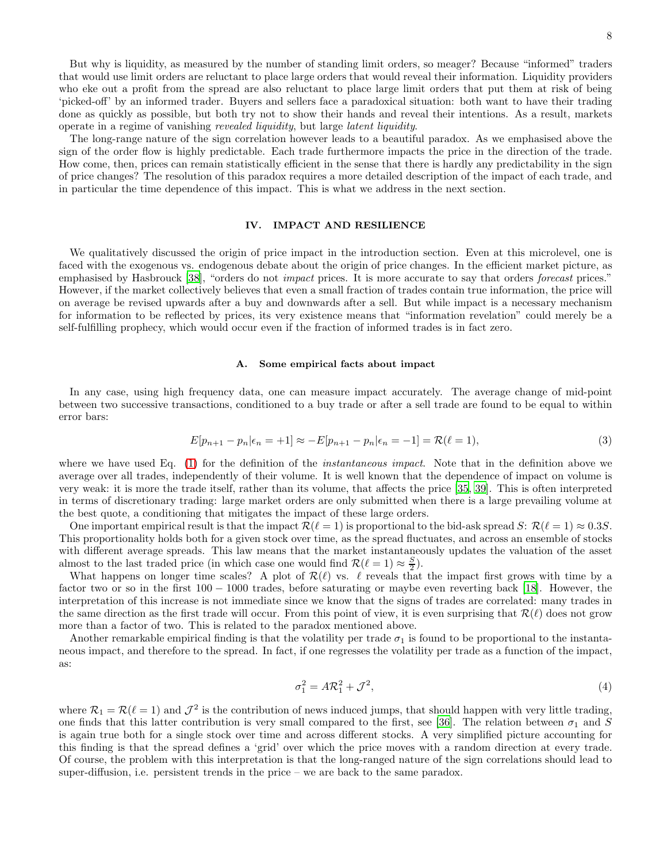But why is liquidity, as measured by the number of standing limit orders, so meager? Because "informed" traders that would use limit orders are reluctant to place large orders that would reveal their information. Liquidity providers who eke out a profit from the spread are also reluctant to place large limit orders that put them at risk of being 'picked-off' by an informed trader. Buyers and sellers face a paradoxical situation: both want to have their trading done as quickly as possible, but both try not to show their hands and reveal their intentions. As a result, markets operate in a regime of vanishing revealed liquidity, but large latent liquidity.

The long-range nature of the sign correlation however leads to a beautiful paradox. As we emphasised above the sign of the order flow is highly predictable. Each trade furthermore impacts the price in the direction of the trade. How come, then, prices can remain statistically efficient in the sense that there is hardly any predictability in the sign of price changes? The resolution of this paradox requires a more detailed description of the impact of each trade, and in particular the time dependence of this impact. This is what we address in the next section.

# <span id="page-7-0"></span>IV. IMPACT AND RESILIENCE

We qualitatively discussed the origin of price impact in the introduction section. Even at this microlevel, one is faced with the exogenous vs. endogenous debate about the origin of price changes. In the efficient market picture, as emphasised by Hasbrouck [\[38](#page-13-8)], "orders do not impact prices. It is more accurate to say that orders forecast prices." However, if the market collectively believes that even a small fraction of trades contain true information, the price will on average be revised upwards after a buy and downwards after a sell. But while impact is a necessary mechanism for information to be reflected by prices, its very existence means that "information revelation" could merely be a self-fulfilling prophecy, which would occur even if the fraction of informed trades is in fact zero.

#### <span id="page-7-1"></span>A. Some empirical facts about impact

In any case, using high frequency data, one can measure impact accurately. The average change of mid-point between two successive transactions, conditioned to a buy trade or after a sell trade are found to be equal to within error bars:

$$
E[p_{n+1} - p_n | \epsilon_n = +1] \approx -E[p_{n+1} - p_n | \epsilon_n = -1] = \mathcal{R}(\ell = 1),
$$
\n(3)

where we have used Eq. [\(1\)](#page-6-2) for the definition of the *instantaneous impact*. Note that in the definition above we average over all trades, independently of their volume. It is well known that the dependence of impact on volume is very weak: it is more the trade itself, rather than its volume, that affects the price [\[35](#page-13-5), [39](#page-13-9)]. This is often interpreted in terms of discretionary trading: large market orders are only submitted when there is a large prevailing volume at the best quote, a conditioning that mitigates the impact of these large orders.

One important empirical result is that the impact  $\mathcal{R}(\ell=1)$  is proportional to the bid-ask spread S:  $\mathcal{R}(\ell=1) \approx 0.3S$ . This proportionality holds both for a given stock over time, as the spread fluctuates, and across an ensemble of stocks with different average spreads. This law means that the market instantaneously updates the valuation of the asset almost to the last traded price (in which case one would find  $\mathcal{R}(\ell=1) \approx \frac{S}{2}$ ).

What happens on longer time scales? A plot of  $\mathcal{R}(\ell)$  vs.  $\ell$  reveals that the impact first grows with time by a factor two or so in the first 100 − 1000 trades, before saturating or maybe even reverting back [\[18\]](#page-12-15). However, the interpretation of this increase is not immediate since we know that the signs of trades are correlated: many trades in the same direction as the first trade will occur. From this point of view, it is even surprising that  $\mathcal{R}(\ell)$  does not grow more than a factor of two. This is related to the paradox mentioned above.

Another remarkable empirical finding is that the volatility per trade  $\sigma_1$  is found to be proportional to the instantaneous impact, and therefore to the spread. In fact, if one regresses the volatility per trade as a function of the impact, as:

$$
\sigma_1^2 = A\mathcal{R}_1^2 + \mathcal{J}^2,\tag{4}
$$

where  $\mathcal{R}_1 = \mathcal{R}(\ell = 1)$  and  $\mathcal{J}^2$  is the contribution of news induced jumps, that should happen with very little trading, one finds that this latter contribution is very small compared to the first, see [\[36](#page-13-6)]. The relation between  $\sigma_1$  and S is again true both for a single stock over time and across different stocks. A very simplified picture accounting for this finding is that the spread defines a 'grid' over which the price moves with a random direction at every trade. Of course, the problem with this interpretation is that the long-ranged nature of the sign correlations should lead to super-diffusion, i.e. persistent trends in the price – we are back to the same paradox.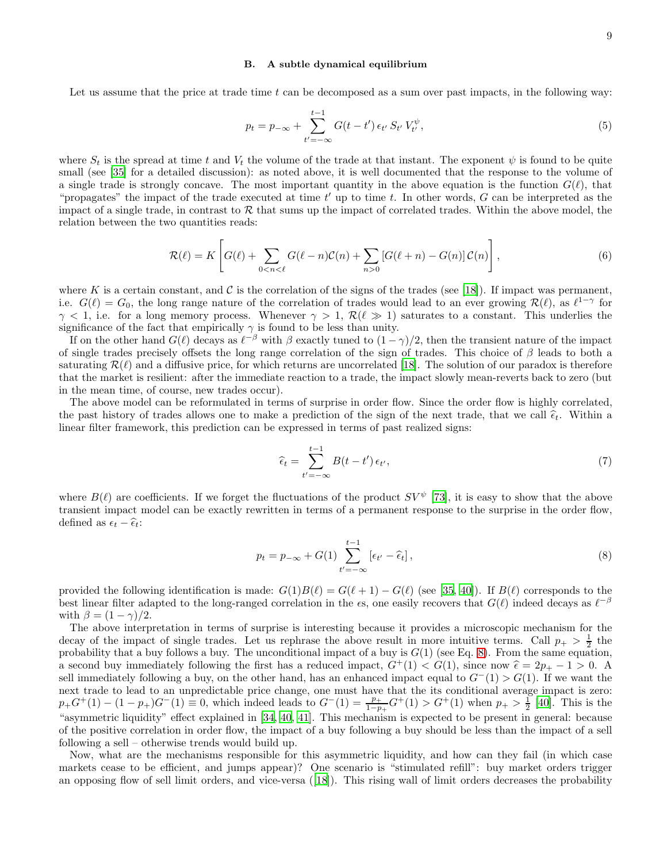#### <span id="page-8-0"></span>B. A subtle dynamical equilibrium

Let us assume that the price at trade time t can be decomposed as a sum over past impacts, in the following way:

$$
p_t = p_{-\infty} + \sum_{t' = -\infty}^{t-1} G(t - t') \epsilon_{t'} S_{t'} V_{t'}^{\psi},
$$
\n(5)

where  $S_t$  is the spread at time t and  $V_t$  the volume of the trade at that instant. The exponent  $\psi$  is found to be quite small (see [\[35\]](#page-13-5) for a detailed discussion): as noted above, it is well documented that the response to the volume of a single trade is strongly concave. The most important quantity in the above equation is the function  $G(\ell)$ , that "propagates" the impact of the trade executed at time  $t'$  up to time  $t$ . In other words,  $G$  can be interpreted as the impact of a single trade, in contrast to  $R$  that sums up the impact of correlated trades. Within the above model, the relation between the two quantities reads:

$$
\mathcal{R}(\ell) = K \left[ G(\ell) + \sum_{0 < n < \ell} G(\ell - n) \mathcal{C}(n) + \sum_{n > 0} \left[ G(\ell + n) - G(n) \right] \mathcal{C}(n) \right],\tag{6}
$$

where K is a certain constant, and C is the correlation of the signs of the trades (see [\[18](#page-12-15)]). If impact was permanent, i.e.  $G(\ell) = G_0$ , the long range nature of the correlation of trades would lead to an ever growing  $\mathcal{R}(\ell)$ , as  $\ell^{1-\gamma}$  for  $\gamma$  < 1, i.e. for a long memory process. Whenever  $\gamma > 1$ ,  $\mathcal{R}(\ell \gg 1)$  saturates to a constant. This underlies the significance of the fact that empirically  $\gamma$  is found to be less than unity.

If on the other hand  $G(\ell)$  decays as  $\ell^{-\beta}$  with  $\beta$  exactly tuned to  $(1-\gamma)/2$ , then the transient nature of the impact of single trades precisely offsets the long range correlation of the sign of trades. This choice of  $\beta$  leads to both a saturating  $\mathcal{R}(\ell)$  and a diffusive price, for which returns are uncorrelated [\[18\]](#page-12-15). The solution of our paradox is therefore that the market is resilient: after the immediate reaction to a trade, the impact slowly mean-reverts back to zero (but in the mean time, of course, new trades occur).

The above model can be reformulated in terms of surprise in order flow. Since the order flow is highly correlated, the past history of trades allows one to make a prediction of the sign of the next trade, that we call  $\hat{\epsilon}_t$ . Within a linear filter framework, this prediction can be expressed in terms of past realized signs:

$$
\widehat{\epsilon}_t = \sum_{t' = -\infty}^{t-1} B(t - t') \, \epsilon_{t'},\tag{7}
$$

where  $B(\ell)$  are coefficients. If we forget the fluctuations of the product  $SV^{\psi}$  [\[73\]](#page-14-0), it is easy to show that the above transient impact model can be exactly rewritten in terms of a permanent response to the surprise in the order flow, defined as  $\epsilon_t - \widehat{\epsilon}_t$ :

<span id="page-8-1"></span>
$$
p_t = p_{-\infty} + G(1) \sum_{t' = -\infty}^{t-1} \left[ \epsilon_{t'} - \hat{\epsilon}_t \right],
$$
\n(8)

provided the following identification is made:  $G(1)B(\ell) = G(\ell+1) - G(\ell)$  (see [\[35,](#page-13-5) [40\]](#page-13-10)). If  $B(\ell)$  corresponds to the best linear filter adapted to the long-ranged correlation in the  $\epsilon$ s, one easily recovers that  $G(\ell)$  indeed decays as  $\ell^{-\beta}$ with  $\beta = (1 - \gamma)/2$ .

The above interpretation in terms of surprise is interesting because it provides a microscopic mechanism for the decay of the impact of single trades. Let us rephrase the above result in more intuitive terms. Call  $p_{+} > \frac{1}{2}$  the probability that a buy follows a buy. The unconditional impact of a buy is  $G(1)$  (see Eq. [8\)](#page-8-1). From the same equation, a second buy immediately following the first has a reduced impact,  $G^+(1) < G(1)$ , since now  $\hat{\epsilon} = 2p_+ - 1 > 0$ . A sell immediately following a buy, on the other hand, has an enhanced impact equal to  $G^{-}(1) > G(1)$ . If we want the next trade to lead to an unpredictable price change, one must have that the its conditional average impact is zero:  $p_+G^+(1) - (1 - p_+)G^-(1) \equiv 0$ , which indeed leads to  $G^-(1) = \frac{p_+}{1-p_+}G^+(1) > G^+(1)$  when  $p_+ > \frac{1}{2}$  [\[40](#page-13-10)]. This is the "asymmetric liquidity" effect explained in [\[34,](#page-12-31) [40,](#page-13-10) [41\]](#page-13-11). This mechanism is expected to be present in general: because of the positive correlation in order flow, the impact of a buy following a buy should be less than the impact of a sell following a sell – otherwise trends would build up.

Now, what are the mechanisms responsible for this asymmetric liquidity, and how can they fail (in which case markets cease to be efficient, and jumps appear)? One scenario is "stimulated refill": buy market orders trigger an opposing flow of sell limit orders, and vice-versa ([\[18\]](#page-12-15)). This rising wall of limit orders decreases the probability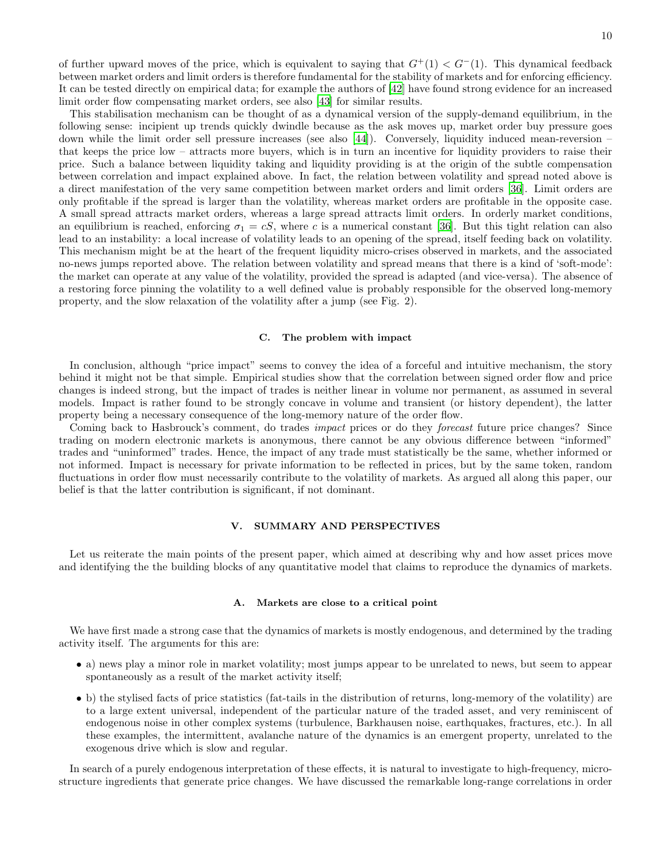of further upward moves of the price, which is equivalent to saying that  $G^+(1) < G^-(1)$ . This dynamical feedback between market orders and limit orders is therefore fundamental for the stability of markets and for enforcing efficiency. It can be tested directly on empirical data; for example the authors of [\[42](#page-13-12)] have found strong evidence for an increased limit order flow compensating market orders, see also [\[43\]](#page-13-13) for similar results.

This stabilisation mechanism can be thought of as a dynamical version of the supply-demand equilibrium, in the following sense: incipient up trends quickly dwindle because as the ask moves up, market order buy pressure goes down while the limit order sell pressure increases (see also [\[44](#page-13-14)]). Conversely, liquidity induced mean-reversion – that keeps the price low – attracts more buyers, which is in turn an incentive for liquidity providers to raise their price. Such a balance between liquidity taking and liquidity providing is at the origin of the subtle compensation between correlation and impact explained above. In fact, the relation between volatility and spread noted above is a direct manifestation of the very same competition between market orders and limit orders [\[36\]](#page-13-6). Limit orders are only profitable if the spread is larger than the volatility, whereas market orders are profitable in the opposite case. A small spread attracts market orders, whereas a large spread attracts limit orders. In orderly market conditions, an equilibrium is reached, enforcing  $\sigma_1 = cS$ , where c is a numerical constant [\[36\]](#page-13-6). But this tight relation can also lead to an instability: a local increase of volatility leads to an opening of the spread, itself feeding back on volatility. This mechanism might be at the heart of the frequent liquidity micro-crises observed in markets, and the associated no-news jumps reported above. The relation between volatility and spread means that there is a kind of 'soft-mode': the market can operate at any value of the volatility, provided the spread is adapted (and vice-versa). The absence of a restoring force pinning the volatility to a well defined value is probably responsible for the observed long-memory property, and the slow relaxation of the volatility after a jump (see Fig. 2).

## <span id="page-9-0"></span>C. The problem with impact

In conclusion, although "price impact" seems to convey the idea of a forceful and intuitive mechanism, the story behind it might not be that simple. Empirical studies show that the correlation between signed order flow and price changes is indeed strong, but the impact of trades is neither linear in volume nor permanent, as assumed in several models. Impact is rather found to be strongly concave in volume and transient (or history dependent), the latter property being a necessary consequence of the long-memory nature of the order flow.

Coming back to Hasbrouck's comment, do trades *impact* prices or do they *forecast* future price changes? Since trading on modern electronic markets is anonymous, there cannot be any obvious difference between "informed" trades and "uninformed" trades. Hence, the impact of any trade must statistically be the same, whether informed or not informed. Impact is necessary for private information to be reflected in prices, but by the same token, random fluctuations in order flow must necessarily contribute to the volatility of markets. As argued all along this paper, our belief is that the latter contribution is significant, if not dominant.

## <span id="page-9-1"></span>V. SUMMARY AND PERSPECTIVES

Let us reiterate the main points of the present paper, which aimed at describing why and how asset prices move and identifying the the building blocks of any quantitative model that claims to reproduce the dynamics of markets.

#### <span id="page-9-2"></span>A. Markets are close to a critical point

We have first made a strong case that the dynamics of markets is mostly endogenous, and determined by the trading activity itself. The arguments for this are:

- a) news play a minor role in market volatility; most jumps appear to be unrelated to news, but seem to appear spontaneously as a result of the market activity itself;
- b) the stylised facts of price statistics (fat-tails in the distribution of returns, long-memory of the volatility) are to a large extent universal, independent of the particular nature of the traded asset, and very reminiscent of endogenous noise in other complex systems (turbulence, Barkhausen noise, earthquakes, fractures, etc.). In all these examples, the intermittent, avalanche nature of the dynamics is an emergent property, unrelated to the exogenous drive which is slow and regular.

In search of a purely endogenous interpretation of these effects, it is natural to investigate to high-frequency, microstructure ingredients that generate price changes. We have discussed the remarkable long-range correlations in order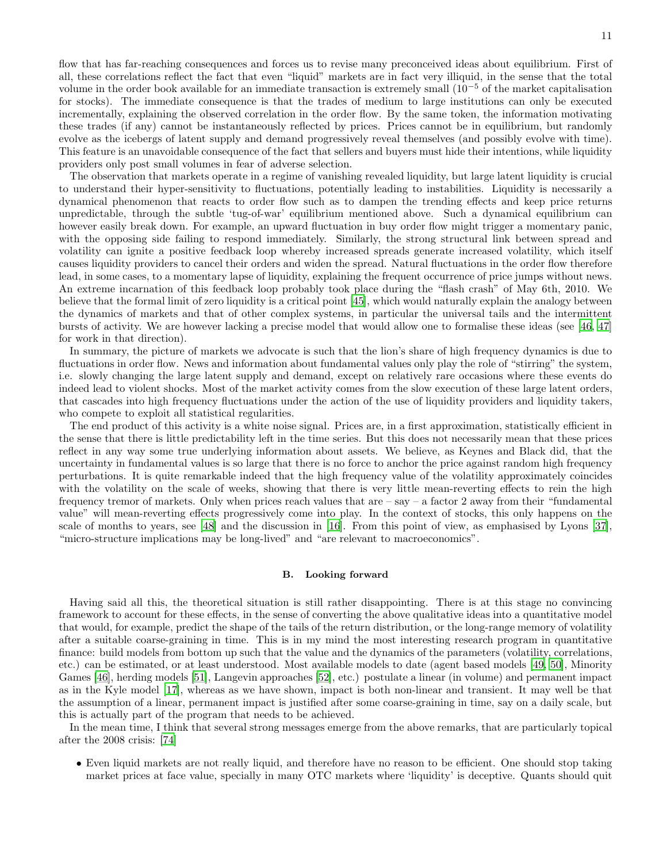flow that has far-reaching consequences and forces us to revise many preconceived ideas about equilibrium. First of all, these correlations reflect the fact that even "liquid" markets are in fact very illiquid, in the sense that the total volume in the order book available for an immediate transaction is extremely small  $(10^{-5}$  of the market capitalisation for stocks). The immediate consequence is that the trades of medium to large institutions can only be executed incrementally, explaining the observed correlation in the order flow. By the same token, the information motivating these trades (if any) cannot be instantaneously reflected by prices. Prices cannot be in equilibrium, but randomly evolve as the icebergs of latent supply and demand progressively reveal themselves (and possibly evolve with time). This feature is an unavoidable consequence of the fact that sellers and buyers must hide their intentions, while liquidity providers only post small volumes in fear of adverse selection.

The observation that markets operate in a regime of vanishing revealed liquidity, but large latent liquidity is crucial to understand their hyper-sensitivity to fluctuations, potentially leading to instabilities. Liquidity is necessarily a dynamical phenomenon that reacts to order flow such as to dampen the trending effects and keep price returns unpredictable, through the subtle 'tug-of-war' equilibrium mentioned above. Such a dynamical equilibrium can however easily break down. For example, an upward fluctuation in buy order flow might trigger a momentary panic, with the opposing side failing to respond immediately. Similarly, the strong structural link between spread and volatility can ignite a positive feedback loop whereby increased spreads generate increased volatility, which itself causes liquidity providers to cancel their orders and widen the spread. Natural fluctuations in the order flow therefore lead, in some cases, to a momentary lapse of liquidity, explaining the frequent occurrence of price jumps without news. An extreme incarnation of this feedback loop probably took place during the "flash crash" of May 6th, 2010. We believe that the formal limit of zero liquidity is a critical point [\[45](#page-13-15)], which would naturally explain the analogy between the dynamics of markets and that of other complex systems, in particular the universal tails and the intermittent bursts of activity. We are however lacking a precise model that would allow one to formalise these ideas (see [\[46](#page-13-16), [47](#page-13-17)] for work in that direction).

In summary, the picture of markets we advocate is such that the lion's share of high frequency dynamics is due to fluctuations in order flow. News and information about fundamental values only play the role of "stirring" the system, i.e. slowly changing the large latent supply and demand, except on relatively rare occasions where these events do indeed lead to violent shocks. Most of the market activity comes from the slow execution of these large latent orders, that cascades into high frequency fluctuations under the action of the use of liquidity providers and liquidity takers, who compete to exploit all statistical regularities.

The end product of this activity is a white noise signal. Prices are, in a first approximation, statistically efficient in the sense that there is little predictability left in the time series. But this does not necessarily mean that these prices reflect in any way some true underlying information about assets. We believe, as Keynes and Black did, that the uncertainty in fundamental values is so large that there is no force to anchor the price against random high frequency perturbations. It is quite remarkable indeed that the high frequency value of the volatility approximately coincides with the volatility on the scale of weeks, showing that there is very little mean-reverting effects to rein the high frequency tremor of markets. Only when prices reach values that are  $-$  say  $-$  a factor 2 away from their "fundamental" value" will mean-reverting effects progressively come into play. In the context of stocks, this only happens on the scale of months to years, see [\[48\]](#page-13-18) and the discussion in [\[16](#page-12-13)]. From this point of view, as emphasised by Lyons [\[37\]](#page-13-7), "micro-structure implications may be long-lived" and "are relevant to macroeconomics".

#### <span id="page-10-0"></span>B. Looking forward

Having said all this, the theoretical situation is still rather disappointing. There is at this stage no convincing framework to account for these effects, in the sense of converting the above qualitative ideas into a quantitative model that would, for example, predict the shape of the tails of the return distribution, or the long-range memory of volatility after a suitable coarse-graining in time. This is in my mind the most interesting research program in quantitative finance: build models from bottom up such that the value and the dynamics of the parameters (volatility, correlations, etc.) can be estimated, or at least understood. Most available models to date (agent based models [\[49](#page-13-19), [50\]](#page-13-20), Minority Games [\[46\]](#page-13-16), herding models [\[51](#page-13-21)], Langevin approaches [\[52](#page-13-22)], etc.) postulate a linear (in volume) and permanent impact as in the Kyle model [\[17\]](#page-12-14), whereas as we have shown, impact is both non-linear and transient. It may well be that the assumption of a linear, permanent impact is justified after some coarse-graining in time, say on a daily scale, but this is actually part of the program that needs to be achieved.

In the mean time, I think that several strong messages emerge from the above remarks, that are particularly topical after the 2008 crisis: [\[74\]](#page-14-1)

• Even liquid markets are not really liquid, and therefore have no reason to be efficient. One should stop taking market prices at face value, specially in many OTC markets where 'liquidity' is deceptive. Quants should quit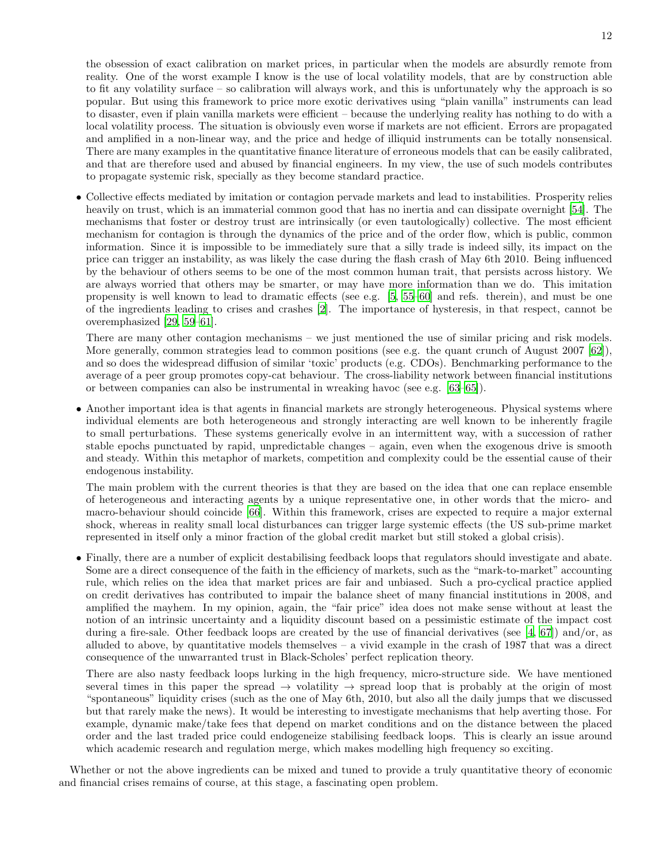the obsession of exact calibration on market prices, in particular when the models are absurdly remote from reality. One of the worst example I know is the use of local volatility models, that are by construction able to fit any volatility surface – so calibration will always work, and this is unfortunately why the approach is so popular. But using this framework to price more exotic derivatives using "plain vanilla" instruments can lead to disaster, even if plain vanilla markets were efficient – because the underlying reality has nothing to do with a local volatility process. The situation is obviously even worse if markets are not efficient. Errors are propagated and amplified in a non-linear way, and the price and hedge of illiquid instruments can be totally nonsensical. There are many examples in the quantitative finance literature of erroneous models that can be easily calibrated, and that are therefore used and abused by financial engineers. In my view, the use of such models contributes to propagate systemic risk, specially as they become standard practice.

• Collective effects mediated by imitation or contagion pervade markets and lead to instabilities. Prosperity relies heavily on trust, which is an immaterial common good that has no inertia and can dissipate overnight [\[54](#page-13-23)]. The mechanisms that foster or destroy trust are intrinsically (or even tautologically) collective. The most efficient mechanism for contagion is through the dynamics of the price and of the order flow, which is public, common information. Since it is impossible to be immediately sure that a silly trade is indeed silly, its impact on the price can trigger an instability, as was likely the case during the flash crash of May 6th 2010. Being influenced by the behaviour of others seems to be one of the most common human trait, that persists across history. We are always worried that others may be smarter, or may have more information than we do. This imitation propensity is well known to lead to dramatic effects (see e.g. [\[5](#page-12-5), [55](#page-13-24)[–60\]](#page-13-25) and refs. therein), and must be one of the ingredients leading to crises and crashes [\[2\]](#page-12-32). The importance of hysteresis, in that respect, cannot be overemphasized [\[29,](#page-12-26) [59](#page-13-26)[–61\]](#page-13-27).

There are many other contagion mechanisms – we just mentioned the use of similar pricing and risk models. More generally, common strategies lead to common positions (see e.g. the quant crunch of August 2007 [\[62\]](#page-13-28)), and so does the widespread diffusion of similar 'toxic' products (e.g. CDOs). Benchmarking performance to the average of a peer group promotes copy-cat behaviour. The cross-liability network between financial institutions or between companies can also be instrumental in wreaking havoc (see e.g. [\[63](#page-13-29)[–65\]](#page-13-30)).

• Another important idea is that agents in financial markets are strongly heterogeneous. Physical systems where individual elements are both heterogeneous and strongly interacting are well known to be inherently fragile to small perturbations. These systems generically evolve in an intermittent way, with a succession of rather stable epochs punctuated by rapid, unpredictable changes – again, even when the exogenous drive is smooth and steady. Within this metaphor of markets, competition and complexity could be the essential cause of their endogenous instability.

The main problem with the current theories is that they are based on the idea that one can replace ensemble of heterogeneous and interacting agents by a unique representative one, in other words that the micro- and macro-behaviour should coincide [\[66\]](#page-13-31). Within this framework, crises are expected to require a major external shock, whereas in reality small local disturbances can trigger large systemic effects (the US sub-prime market represented in itself only a minor fraction of the global credit market but still stoked a global crisis).

• Finally, there are a number of explicit destabilising feedback loops that regulators should investigate and abate. Some are a direct consequence of the faith in the efficiency of markets, such as the "mark-to-market" accounting rule, which relies on the idea that market prices are fair and unbiased. Such a pro-cyclical practice applied on credit derivatives has contributed to impair the balance sheet of many financial institutions in 2008, and amplified the mayhem. In my opinion, again, the "fair price" idea does not make sense without at least the notion of an intrinsic uncertainty and a liquidity discount based on a pessimistic estimate of the impact cost during a fire-sale. Other feedback loops are created by the use of financial derivatives (see [\[4,](#page-12-2) [67](#page-13-32)]) and/or, as alluded to above, by quantitative models themselves  $-$  a vivid example in the crash of 1987 that was a direct consequence of the unwarranted trust in Black-Scholes' perfect replication theory.

There are also nasty feedback loops lurking in the high frequency, micro-structure side. We have mentioned several times in this paper the spread  $\rightarrow$  volatility  $\rightarrow$  spread loop that is probably at the origin of most "spontaneous" liquidity crises (such as the one of May 6th, 2010, but also all the daily jumps that we discussed but that rarely make the news). It would be interesting to investigate mechanisms that help averting those. For example, dynamic make/take fees that depend on market conditions and on the distance between the placed order and the last traded price could endogeneize stabilising feedback loops. This is clearly an issue around which academic research and regulation merge, which makes modelling high frequency so exciting.

Whether or not the above ingredients can be mixed and tuned to provide a truly quantitative theory of economic and financial crises remains of course, at this stage, a fascinating open problem.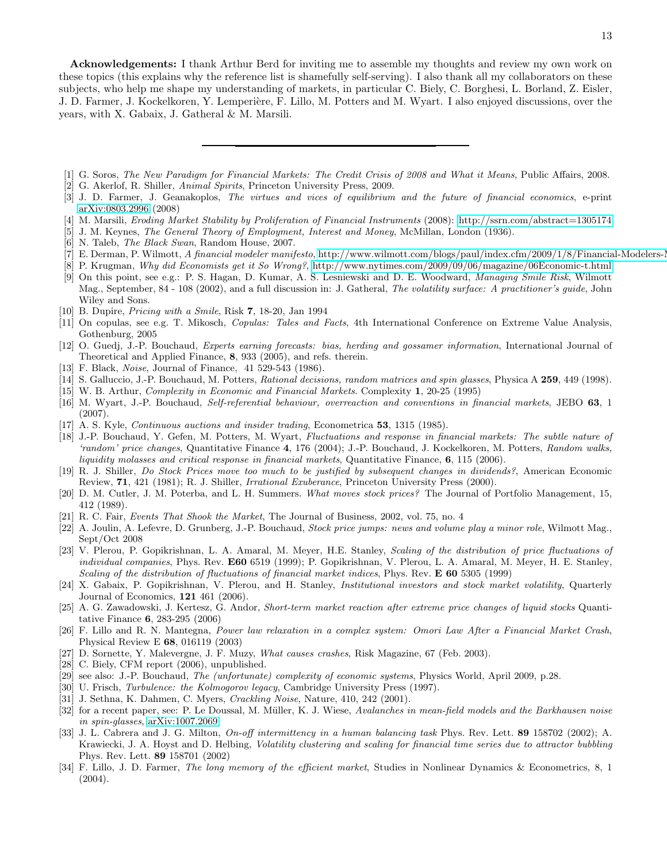Acknowledgements: I thank Arthur Berd for inviting me to assemble my thoughts and review my own work on these topics (this explains why the reference list is shamefully self-serving). I also thank all my collaborators on these subjects, who help me shape my understanding of markets, in particular C. Biely, C. Borghesi, L. Borland, Z. Eisler, J. D. Farmer, J. Kockelkoren, Y. Lemperière, F. Lillo, M. Potters and M. Wyart. I also enjoyed discussions, over the years, with X. Gabaix, J. Gatheral & M. Marsili.

- <span id="page-12-1"></span><span id="page-12-0"></span>[1] G. Soros, The New Paradigm for Financial Markets: The Credit Crisis of 2008 and What it Means, Public Affairs, 2008.
- <span id="page-12-32"></span>[2] G. Akerlof, R. Shiller, Animal Spirits, Princeton University Press, 2009.
- [3] J. D. Farmer, J. Geanakoplos, The virtues and vices of equilibrium and the future of financial economics, e-print [arXiv:0803.2996](http://arxiv.org/abs/0803.2996) (2008)
- <span id="page-12-2"></span>[4] M. Marsili, Eroding Market Stability by Proliferation of Financial Instruments (2008):<http://ssrn.com/abstract=1305174>
- <span id="page-12-5"></span>[5] J. M. Keynes, The General Theory of Employment, Interest and Money, McMillan, London (1936).
- <span id="page-12-3"></span>[6] N. Taleb, The Black Swan, Random House, 2007.
- <span id="page-12-4"></span>[7] E. Derman, P. Wilmott, A financial modeler manifesto, http://www.wilmott.com/blogs/paul/index.cfm/2009/1/8/Financial-Modelers-
- <span id="page-12-6"></span>[8] P. Krugman, Why did Economists get it So Wrong?,<http://www.nytimes.com/2009/09/06/magazine/06Economic-t.html>
- <span id="page-12-7"></span>[9] On this point, see e.g.: P. S. Hagan, D. Kumar, A. S. Lesniewski and D. E. Woodward, Managing Smile Risk, Wilmott Mag., September, 84 - 108 (2002), and a full discussion in: J. Gatheral, The volatility surface: A practitioner's guide, John Wiley and Sons.
- <span id="page-12-33"></span>[10] B. Dupire, Pricing with a Smile, Risk 7, 18-20, Jan 1994
- <span id="page-12-8"></span>[11] On copulas, see e.g. T. Mikosch, Copulas: Tales and Facts, 4th International Conference on Extreme Value Analysis, Gothenburg, 2005
- <span id="page-12-9"></span>[12] O. Guedj, J.-P. Bouchaud, Experts earning forecasts: bias, herding and gossamer information, International Journal of Theoretical and Applied Finance, 8, 933 (2005), and refs. therein.
- <span id="page-12-10"></span>[13] F. Black, *Noise*, Journal of Finance, 41 529-543 (1986).
- <span id="page-12-11"></span>[14] S. Galluccio, J.-P. Bouchaud, M. Potters, *Rational decisions, random matrices and spin glasses*, Physica A 259, 449 (1998).
- <span id="page-12-12"></span>[15] W. B. Arthur, Complexity in Economic and Financial Markets. Complexity 1, 20-25 (1995)
- <span id="page-12-13"></span>[16] M. Wyart, J.-P. Bouchaud, Self-referential behaviour, overreaction and conventions in financial markets, JEBO 63, 1 (2007).
- <span id="page-12-14"></span>[17] A. S. Kyle, Continuous auctions and insider trading, Econometrica 53, 1315 (1985).
- <span id="page-12-15"></span>[18] J.-P. Bouchaud, Y. Gefen, M. Potters, M. Wyart, Fluctuations and response in financial markets: The subtle nature of 'random' price changes, Quantitative Finance 4, 176 (2004); J.-P. Bouchaud, J. Kockelkoren, M. Potters, Random walks, liquidity molasses and critical response in financial markets, Quantitative Finance, 6, 115 (2006).
- <span id="page-12-16"></span>[19] R. J. Shiller, Do Stock Prices move too much to be justified by subsequent changes in dividends?, American Economic Review, 71, 421 (1981); R. J. Shiller, Irrational Exuberance, Princeton University Press (2000).
- <span id="page-12-17"></span>[20] D. M. Cutler, J. M. Poterba, and L. H. Summers. What moves stock prices? The Journal of Portfolio Management, 15, 412 (1989).
- <span id="page-12-18"></span>[21] R. C. Fair, Events That Shook the Market, The Journal of Business, 2002, vol. 75, no. 4
- <span id="page-12-19"></span>[22] A. Joulin, A. Lefevre, D. Grunberg, J.-P. Bouchaud, Stock price jumps: news and volume play a minor role, Wilmott Mag., Sept/Oct 2008
- <span id="page-12-20"></span>[23] V. Plerou, P. Gopikrishnan, L. A. Amaral, M. Meyer, H.E. Stanley, Scaling of the distribution of price fluctuations of individual companies, Phys. Rev. E60 6519 (1999); P. Gopikrishnan, V. Plerou, L. A. Amaral, M. Meyer, H. E. Stanley, Scaling of the distribution of fluctuations of financial market indices, Phys. Rev. E 60 5305 (1999)
- <span id="page-12-21"></span>[24] X. Gabaix, P. Gopikrishnan, V. Plerou, and H. Stanley, Institutional investors and stock market volatility, Quarterly Journal of Economics, 121 461 (2006).
- <span id="page-12-22"></span>[25] A. G. Zawadowski, J. Kertesz, G. Andor, Short-term market reaction after extreme price changes of liquid stocks Quantitative Finance 6, 283-295 (2006)
- <span id="page-12-23"></span>[26] F. Lillo and R. N. Mantegna, Power law relaxation in a complex system: Omori Law After a Financial Market Crash, Physical Review E 68, 016119 (2003)
- <span id="page-12-24"></span>[27] D. Sornette, Y. Malevergne, J. F. Muzy, What causes crashes, Risk Magazine, 67 (Feb. 2003).
- <span id="page-12-25"></span>[28] C. Biely, CFM report (2006), unpublished.
- <span id="page-12-26"></span>[29] see also: J.-P. Bouchaud, *The (unfortunate) complexity of economic systems*, Physics World, April 2009, p.28.
- <span id="page-12-27"></span>[30] U. Frisch, Turbulence: the Kolmogorov legacy, Cambridge University Press (1997).
- <span id="page-12-28"></span>[31] J. Sethna, K. Dahmen, C. Myers, Crackling Noise, Nature, 410, 242 (2001).
- <span id="page-12-29"></span>[32] for a recent paper, see: P. Le Doussal, M. Müller, K. J. Wiese, Avalanches in mean-field models and the Barkhausen noise in spin-glasses, [arXiv:1007.2069](http://arxiv.org/abs/1007.2069)
- <span id="page-12-30"></span>[33] J. L. Cabrera and J. G. Milton, On-off intermittency in a human balancing task Phys. Rev. Lett. 89 158702 (2002); A. Krawiecki, J. A. Hoyst and D. Helbing, Volatility clustering and scaling for financial time series due to attractor bubbling Phys. Rev. Lett. 89 158701 (2002)
- <span id="page-12-31"></span>[34] F. Lillo, J. D. Farmer, The long memory of the efficient market, Studies in Nonlinear Dynamics & Econometrics, 8, 1 (2004).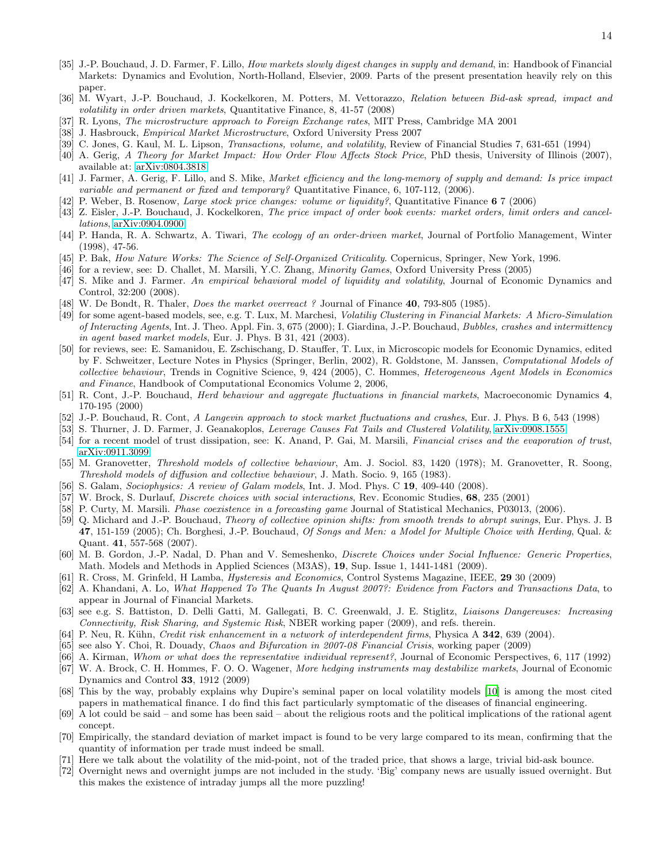- <span id="page-13-5"></span>[35] J.-P. Bouchaud, J. D. Farmer, F. Lillo, *How markets slowly digest changes in supply and demand*, in: Handbook of Financial Markets: Dynamics and Evolution, North-Holland, Elsevier, 2009. Parts of the present presentation heavily rely on this paper.
- <span id="page-13-6"></span>[36] M. Wyart, J.-P. Bouchaud, J. Kockelkoren, M. Potters, M. Vettorazzo, Relation between Bid-ask spread, impact and volatility in order driven markets, Quantitative Finance, 8, 41-57 (2008)
- <span id="page-13-7"></span>[37] R. Lyons, The microstructure approach to Foreign Exchange rates, MIT Press, Cambridge MA 2001
- <span id="page-13-8"></span>[38] J. Hasbrouck, *Empirical Market Microstructure*, Oxford University Press 2007
- <span id="page-13-9"></span>[39] C. Jones, G. Kaul, M. L. Lipson, Transactions, volume, and volatility, Review of Financial Studies 7, 631-651 (1994)
- <span id="page-13-10"></span>[40] A. Gerig, A Theory for Market Impact: How Order Flow Affects Stock Price, PhD thesis, University of Illinois (2007), available at: [arXiv:0804.3818](http://arxiv.org/abs/0804.3818)
- <span id="page-13-11"></span>[41] J. Farmer, A. Gerig, F. Lillo, and S. Mike, Market efficiency and the long-memory of supply and demand: Is price impact variable and permanent or fixed and temporary? Quantitative Finance, 6, 107-112, (2006).
- <span id="page-13-12"></span>[42] P. Weber, B. Rosenow, Large stock price changes: volume or liquidity?, Quantitative Finance 6 7 (2006)
- <span id="page-13-13"></span>[43] Z. Eisler, J.-P. Bouchaud, J. Kockelkoren, The price impact of order book events: market orders, limit orders and cancellations, [arXiv:0904.0900](http://arxiv.org/abs/0904.0900)
- <span id="page-13-14"></span>[44] P. Handa, R. A. Schwartz, A. Tiwari, The ecology of an order-driven market, Journal of Portfolio Management, Winter (1998), 47-56.
- <span id="page-13-15"></span>[45] P. Bak, How Nature Works: The Science of Self-Organized Criticality. Copernicus, Springer, New York, 1996.
- <span id="page-13-16"></span>[46] for a review, see: D. Challet, M. Marsili, Y.C. Zhang, Minority Games, Oxford University Press (2005)
- <span id="page-13-17"></span>[47] S. Mike and J. Farmer. An empirical behavioral model of liquidity and volatility, Journal of Economic Dynamics and Control, 32:200 (2008).
- <span id="page-13-18"></span>[48] W. De Bondt, R. Thaler, *Does the market overreact?* Journal of Finance **40**, 793-805 (1985).
- <span id="page-13-19"></span>[49] for some agent-based models, see, e.g. T. Lux, M. Marchesi, Volatiliy Clustering in Financial Markets: A Micro-Simulation of Interacting Agents, Int. J. Theo. Appl. Fin. 3, 675 (2000); I. Giardina, J.-P. Bouchaud, Bubbles, crashes and intermittency in agent based market models, Eur. J. Phys. B 31, 421 (2003).
- <span id="page-13-20"></span>[50] for reviews, see: E. Samanidou, E. Zschischang, D. Stauffer, T. Lux, in Microscopic models for Economic Dynamics, edited by F. Schweitzer, Lecture Notes in Physics (Springer, Berlin, 2002), R. Goldstone, M. Janssen, Computational Models of collective behaviour, Trends in Cognitive Science, 9, 424 (2005), C. Hommes, Heterogeneous Agent Models in Economics and Finance, Handbook of Computational Economics Volume 2, 2006,
- <span id="page-13-21"></span>[51] R. Cont, J.-P. Bouchaud, Herd behaviour and aggregate fluctuations in financial markets, Macroeconomic Dynamics 4, 170-195 (2000)
- <span id="page-13-22"></span>[52] J.-P. Bouchaud, R. Cont, A Langevin approach to stock market fluctuations and crashes, Eur. J. Phys. B 6, 543 (1998)
- <span id="page-13-33"></span>[53] S. Thurner, J. D. Farmer, J. Geanakoplos, Leverage Causes Fat Tails and Clustered Volatility, [arXiv:0908.1555](http://arxiv.org/abs/0908.1555)
- <span id="page-13-23"></span>[54] for a recent model of trust dissipation, see: K. Anand, P. Gai, M. Marsili, Financial crises and the evaporation of trust, [arXiv:0911.3099](http://arxiv.org/abs/0911.3099)
- <span id="page-13-24"></span>[55] M. Granovetter, Threshold models of collective behaviour, Am. J. Sociol. 83, 1420 (1978); M. Granovetter, R. Soong, Threshold models of diffusion and collective behaviour, J. Math. Socio. 9, 165 (1983).
- [56] S. Galam, Sociophysics: A review of Galam models, Int. J. Mod. Phys. C 19, 409-440 (2008).
- [57] W. Brock, S. Durlauf, *Discrete choices with social interactions*, Rev. Economic Studies, 68, 235 (2001)
- [58] P. Curty, M. Marsili. *Phase coexistence in a forecasting game* Journal of Statistical Mechanics, P03013, (2006).
- <span id="page-13-26"></span>[59] Q. Michard and J.-P. Bouchaud, Theory of collective opinion shifts: from smooth trends to abrupt swings, Eur. Phys. J. B 47, 151-159 (2005); Ch. Borghesi, J.-P. Bouchaud, Of Songs and Men: a Model for Multiple Choice with Herding, Qual. & Quant. 41, 557-568 (2007).
- <span id="page-13-25"></span>[60] M. B. Gordon, J.-P. Nadal, D. Phan and V. Semeshenko, Discrete Choices under Social Influence: Generic Properties, Math. Models and Methods in Applied Sciences (M3AS), 19, Sup. Issue 1, 1441-1481 (2009).
- <span id="page-13-27"></span>[61] R. Cross, M. Grinfeld, H Lamba, *Hysteresis and Economics*, Control Systems Magazine, IEEE, 29 30 (2009)
- <span id="page-13-28"></span>[62] A. Khandani, A. Lo, What Happened To The Quants In August 2007?: Evidence from Factors and Transactions Data, to appear in Journal of Financial Markets.
- <span id="page-13-29"></span>[63] see e.g. S. Battiston, D. Delli Gatti, M. Gallegati, B. C. Greenwald, J. E. Stiglitz, Liaisons Dangereuses: Increasing Connectivity, Risk Sharing, and Systemic Risk, NBER working paper (2009), and refs. therein.
- [64] P. Neu, R. Kühn, Credit risk enhancement in a network of interdependent firms, Physica A 342, 639 (2004).
- <span id="page-13-30"></span>[65] see also Y. Choi, R. Douady, Chaos and Bifurcation in 2007-08 Financial Crisis, working paper (2009)
- <span id="page-13-31"></span>[66] A. Kirman, Whom or what does the representative individual represent?, Journal of Economic Perspectives, 6, 117 (1992)
- <span id="page-13-32"></span>[67] W. A. Brock, C. H. Hommes, F. O. O. Wagener, More hedging instruments may destabilize markets, Journal of Economic Dynamics and Control 33, 1912 (2009)
- <span id="page-13-0"></span>[68] This by the way, probably explains why Dupire's seminal paper on local volatility models [\[10\]](#page-12-33) is among the most cited papers in mathematical finance. I do find this fact particularly symptomatic of the diseases of financial engineering.
- <span id="page-13-1"></span>[69] A lot could be said – and some has been said – about the religious roots and the political implications of the rational agent concept.
- <span id="page-13-2"></span>[70] Empirically, the standard deviation of market impact is found to be very large compared to its mean, confirming that the quantity of information per trade must indeed be small.
- <span id="page-13-3"></span>[71] Here we talk about the volatility of the mid-point, not of the traded price, that shows a large, trivial bid-ask bounce.
- <span id="page-13-4"></span>[72] Overnight news and overnight jumps are not included in the study. 'Big' company news are usually issued overnight. But this makes the existence of intraday jumps all the more puzzling!